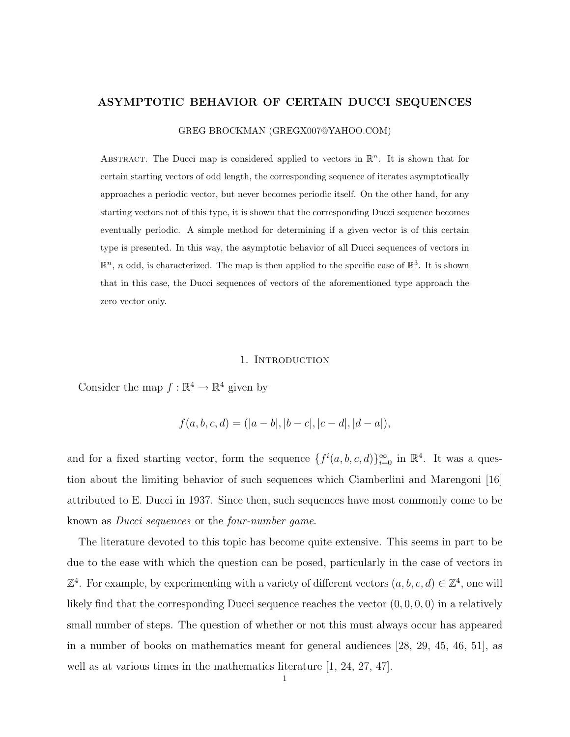### ASYMPTOTIC BEHAVIOR OF CERTAIN DUCCI SEQUENCES

GREG BROCKMAN (GREGX007@YAHOO.COM)

ABSTRACT. The Ducci map is considered applied to vectors in  $\mathbb{R}^n$ . It is shown that for certain starting vectors of odd length, the corresponding sequence of iterates asymptotically approaches a periodic vector, but never becomes periodic itself. On the other hand, for any starting vectors not of this type, it is shown that the corresponding Ducci sequence becomes eventually periodic. A simple method for determining if a given vector is of this certain type is presented. In this way, the asymptotic behavior of all Ducci sequences of vectors in  $\mathbb{R}^n$ , n odd, is characterized. The map is then applied to the specific case of  $\mathbb{R}^3$ . It is shown that in this case, the Ducci sequences of vectors of the aforementioned type approach the zero vector only.

#### 1. Introduction

Consider the map  $f : \mathbb{R}^4 \to \mathbb{R}^4$  given by

$$
f(a, b, c, d) = (|a - b|, |b - c|, |c - d|, |d - a|),
$$

and for a fixed starting vector, form the sequence  $\{f^i(a, b, c, d)\}_{i=0}^{\infty}$  in  $\mathbb{R}^4$ . It was a question about the limiting behavior of such sequences which Ciamberlini and Marengoni [16] attributed to E. Ducci in 1937. Since then, such sequences have most commonly come to be known as Ducci sequences or the four-number game.

The literature devoted to this topic has become quite extensive. This seems in part to be due to the ease with which the question can be posed, particularly in the case of vectors in  $\mathbb{Z}^4$ . For example, by experimenting with a variety of different vectors  $(a, b, c, d) \in \mathbb{Z}^4$ , one will likely find that the corresponding Ducci sequence reaches the vector  $(0, 0, 0, 0)$  in a relatively small number of steps. The question of whether or not this must always occur has appeared in a number of books on mathematics meant for general audiences [28, 29, 45, 46, 51], as well as at various times in the mathematics literature [1, 24, 27, 47].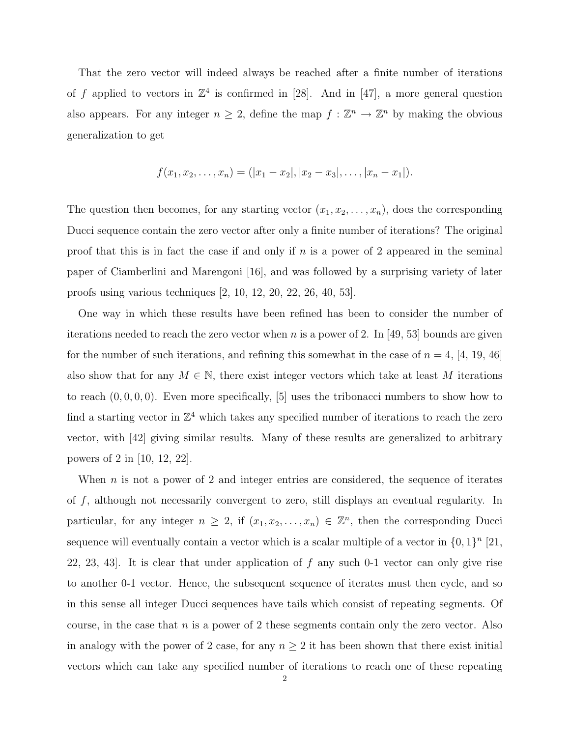That the zero vector will indeed always be reached after a finite number of iterations of f applied to vectors in  $\mathbb{Z}^4$  is confirmed in [28]. And in [47], a more general question also appears. For any integer  $n \geq 2$ , define the map  $f : \mathbb{Z}^n \to \mathbb{Z}^n$  by making the obvious generalization to get

$$
f(x_1, x_2, \ldots, x_n) = (|x_1 - x_2|, |x_2 - x_3|, \ldots, |x_n - x_1|).
$$

The question then becomes, for any starting vector  $(x_1, x_2, \ldots, x_n)$ , does the corresponding Ducci sequence contain the zero vector after only a finite number of iterations? The original proof that this is in fact the case if and only if  $n$  is a power of 2 appeared in the seminal paper of Ciamberlini and Marengoni [16], and was followed by a surprising variety of later proofs using various techniques [2, 10, 12, 20, 22, 26, 40, 53].

One way in which these results have been refined has been to consider the number of iterations needed to reach the zero vector when n is a power of 2. In [49, 53] bounds are given for the number of such iterations, and refining this somewhat in the case of  $n = 4$ , [4, 19, 46] also show that for any  $M \in \mathbb{N}$ , there exist integer vectors which take at least M iterations to reach  $(0, 0, 0, 0)$ . Even more specifically, [5] uses the tribonacci numbers to show how to find a starting vector in  $\mathbb{Z}^4$  which takes any specified number of iterations to reach the zero vector, with [42] giving similar results. Many of these results are generalized to arbitrary powers of 2 in [10, 12, 22].

When  $n$  is not a power of 2 and integer entries are considered, the sequence of iterates of f, although not necessarily convergent to zero, still displays an eventual regularity. In particular, for any integer  $n \geq 2$ , if  $(x_1, x_2, \ldots, x_n) \in \mathbb{Z}^n$ , then the corresponding Ducci sequence will eventually contain a vector which is a scalar multiple of a vector in  $\{0,1\}^n$  [21, 22, 23, 43. It is clear that under application of  $f$  any such 0-1 vector can only give rise to another 0-1 vector. Hence, the subsequent sequence of iterates must then cycle, and so in this sense all integer Ducci sequences have tails which consist of repeating segments. Of course, in the case that  $n$  is a power of 2 these segments contain only the zero vector. Also in analogy with the power of 2 case, for any  $n \geq 2$  it has been shown that there exist initial vectors which can take any specified number of iterations to reach one of these repeating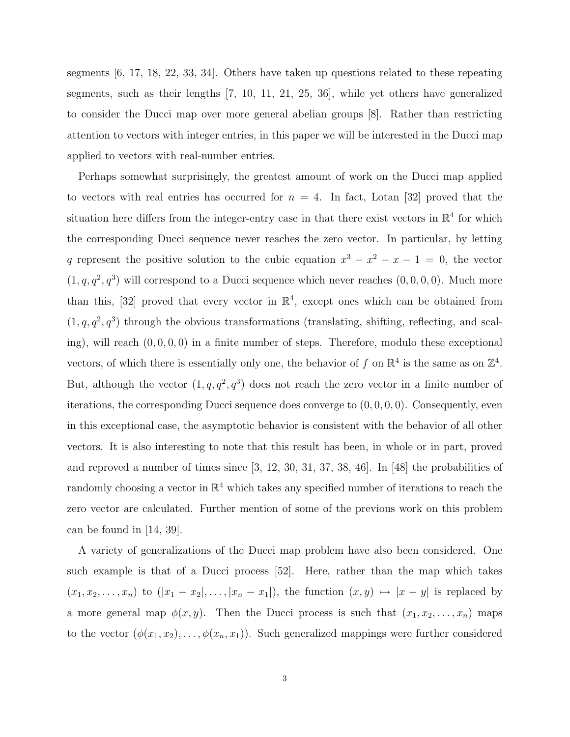segments [6, 17, 18, 22, 33, 34]. Others have taken up questions related to these repeating segments, such as their lengths [7, 10, 11, 21, 25, 36], while yet others have generalized to consider the Ducci map over more general abelian groups [8]. Rather than restricting attention to vectors with integer entries, in this paper we will be interested in the Ducci map applied to vectors with real-number entries.

Perhaps somewhat surprisingly, the greatest amount of work on the Ducci map applied to vectors with real entries has occurred for  $n = 4$ . In fact, Lotan [32] proved that the situation here differs from the integer-entry case in that there exist vectors in  $\mathbb{R}^4$  for which the corresponding Ducci sequence never reaches the zero vector. In particular, by letting q represent the positive solution to the cubic equation  $x^3 - x^2 - x - 1 = 0$ , the vector  $(1, q, q^2, q^3)$  will correspond to a Ducci sequence which never reaches  $(0, 0, 0, 0)$ . Much more than this, [32] proved that every vector in  $\mathbb{R}^4$ , except ones which can be obtained from  $(1, q, q^2, q^3)$  through the obvious transformations (translating, shifting, reflecting, and scaling), will reach  $(0, 0, 0, 0)$  in a finite number of steps. Therefore, modulo these exceptional vectors, of which there is essentially only one, the behavior of f on  $\mathbb{R}^4$  is the same as on  $\mathbb{Z}^4$ . But, although the vector  $(1, q, q^2, q^3)$  does not reach the zero vector in a finite number of iterations, the corresponding Ducci sequence does converge to (0, 0, 0, 0). Consequently, even in this exceptional case, the asymptotic behavior is consistent with the behavior of all other vectors. It is also interesting to note that this result has been, in whole or in part, proved and reproved a number of times since [3, 12, 30, 31, 37, 38, 46]. In [48] the probabilities of randomly choosing a vector in  $\mathbb{R}^4$  which takes any specified number of iterations to reach the zero vector are calculated. Further mention of some of the previous work on this problem can be found in [14, 39].

A variety of generalizations of the Ducci map problem have also been considered. One such example is that of a Ducci process [52]. Here, rather than the map which takes  $(x_1, x_2, \ldots, x_n)$  to  $(|x_1 - x_2|, \ldots, |x_n - x_1|)$ , the function  $(x, y) \mapsto |x - y|$  is replaced by a more general map  $\phi(x, y)$ . Then the Ducci process is such that  $(x_1, x_2, \ldots, x_n)$  maps to the vector  $(\phi(x_1, x_2), \ldots, \phi(x_n, x_1))$ . Such generalized mappings were further considered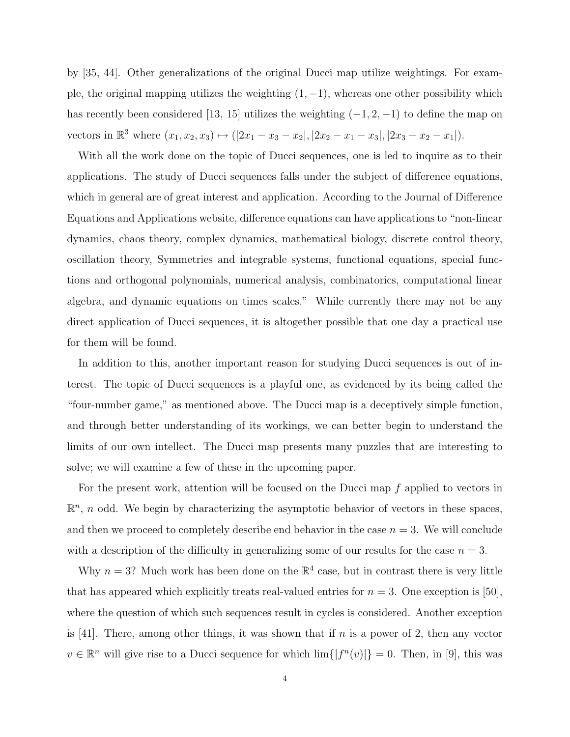by [35, 44]. Other generalizations of the original Ducci map utilize weightings. For example, the original mapping utilizes the weighting  $(1, -1)$ , whereas one other possibility which has recently been considered [13, 15] utilizes the weighting  $(-1, 2, -1)$  to define the map on vectors in  $\mathbb{R}^3$  where  $(x_1, x_2, x_3) \mapsto (|2x_1 - x_3 - x_2|, |2x_2 - x_1 - x_3|, |2x_3 - x_2 - x_1|).$ 

With all the work done on the topic of Ducci sequences, one is led to inquire as to their applications. The study of Ducci sequences falls under the subject of difference equations, which in general are of great interest and application. According to the Journal of Difference Equations and Applications website, difference equations can have applications to "non-linear dynamics, chaos theory, complex dynamics, mathematical biology, discrete control theory, oscillation theory, Symmetries and integrable systems, functional equations, special functions and orthogonal polynomials, numerical analysis, combinatorics, computational linear algebra, and dynamic equations on times scales." While currently there may not be any direct application of Ducci sequences, it is altogether possible that one day a practical use for them will be found.

In addition to this, another important reason for studying Ducci sequences is out of interest. The topic of Ducci sequences is a playful one, as evidenced by its being called the "four-number game," as mentioned above. The Ducci map is a deceptively simple function, and through better understanding of its workings, we can better begin to understand the limits of our own intellect. The Ducci map presents many puzzles that are interesting to solve; we will examine a few of these in the upcoming paper.

For the present work, attention will be focused on the Ducci map f applied to vectors in  $\mathbb{R}^n$ , *n* odd. We begin by characterizing the asymptotic behavior of vectors in these spaces, and then we proceed to completely describe end behavior in the case  $n = 3$ . We will conclude with a description of the difficulty in generalizing some of our results for the case  $n = 3$ .

Why  $n = 3$ ? Much work has been done on the  $\mathbb{R}^4$  case, but in contrast there is very little that has appeared which explicitly treats real-valued entries for  $n = 3$ . One exception is [50], where the question of which such sequences result in cycles is considered. Another exception is [41]. There, among other things, it was shown that if  $n$  is a power of 2, then any vector  $v \in \mathbb{R}^n$  will give rise to a Ducci sequence for which  $\lim\{|f^n(v)|\} = 0$ . Then, in [9], this was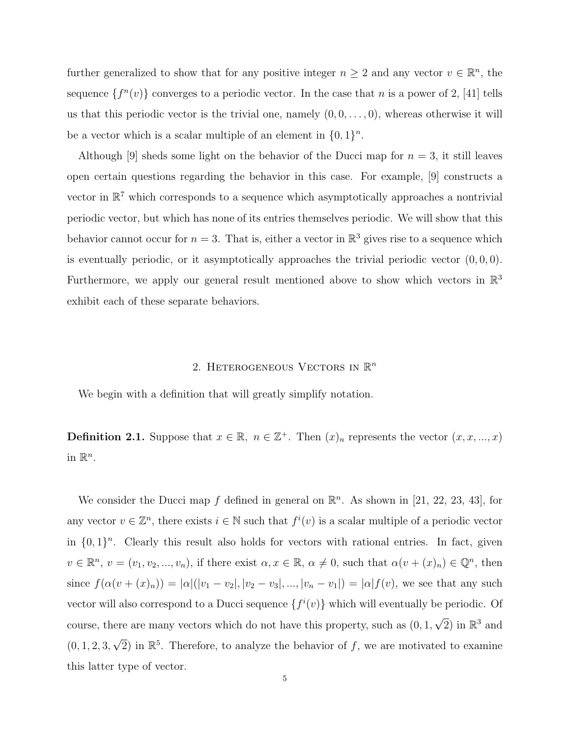further generalized to show that for any positive integer  $n \geq 2$  and any vector  $v \in \mathbb{R}^n$ , the sequence  $\{f^{(n)}(v)\}$  converges to a periodic vector. In the case that n is a power of 2, [41] tells us that this periodic vector is the trivial one, namely  $(0, 0, \ldots, 0)$ , whereas otherwise it will be a vector which is a scalar multiple of an element in  $\{0, 1\}^n$ .

Although [9] sheds some light on the behavior of the Ducci map for  $n = 3$ , it still leaves open certain questions regarding the behavior in this case. For example, [9] constructs a vector in  $\mathbb{R}^7$  which corresponds to a sequence which asymptotically approaches a nontrivial periodic vector, but which has none of its entries themselves periodic. We will show that this behavior cannot occur for  $n = 3$ . That is, either a vector in  $\mathbb{R}^3$  gives rise to a sequence which is eventually periodic, or it asymptotically approaches the trivial periodic vector  $(0, 0, 0)$ . Furthermore, we apply our general result mentioned above to show which vectors in  $\mathbb{R}^3$ exhibit each of these separate behaviors.

# 2. HETEROGENEOUS VECTORS IN  $\mathbb{R}^n$

We begin with a definition that will greatly simplify notation.

**Definition 2.1.** Suppose that  $x \in \mathbb{R}$ ,  $n \in \mathbb{Z}^+$ . Then  $(x)_n$  represents the vector  $(x, x, ..., x)$ in  $\mathbb{R}^n$ .

We consider the Ducci map f defined in general on  $\mathbb{R}^n$ . As shown in [21, 22, 23, 43], for any vector  $v \in \mathbb{Z}^n$ , there exists  $i \in \mathbb{N}$  such that  $f^i(v)$  is a scalar multiple of a periodic vector in  $\{0,1\}^n$ . Clearly this result also holds for vectors with rational entries. In fact, given  $v \in \mathbb{R}^n$ ,  $v = (v_1, v_2, ..., v_n)$ , if there exist  $\alpha, x \in \mathbb{R}$ ,  $\alpha \neq 0$ , such that  $\alpha(v + (x)_n) \in \mathbb{Q}^n$ , then since  $f(\alpha(v + (x)_n)) = |\alpha|(|v_1 - v_2|, |v_2 - v_3|, ..., |v_n - v_1|) = |\alpha|f(v)$ , we see that any such vector will also correspond to a Ducci sequence  $\{f^i(v)\}\$  which will eventually be periodic. Of course, there are many vectors which do not have this property, such as (0, 1,  $\sqrt{2}$ ) in  $\mathbb{R}^3$  and  $(0, 1, 2, 3,$  $\sqrt{2}$ ) in  $\mathbb{R}^5$ . Therefore, to analyze the behavior of f, we are motivated to examine this latter type of vector.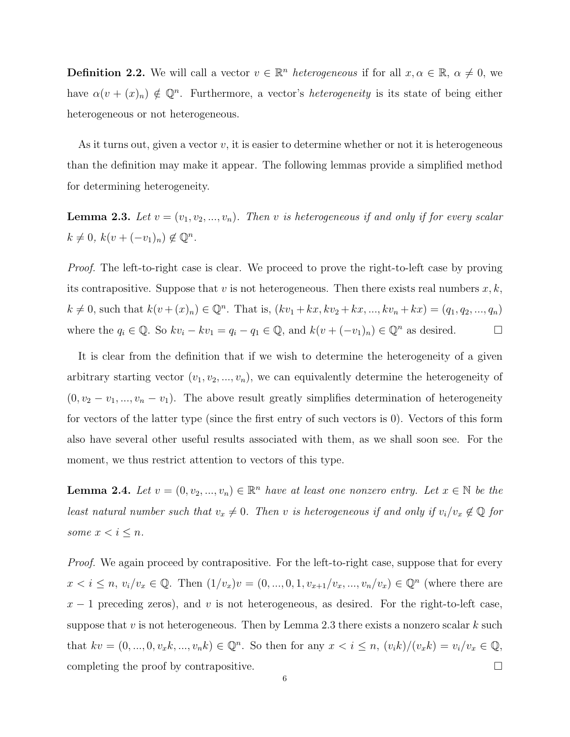**Definition 2.2.** We will call a vector  $v \in \mathbb{R}^n$  heterogeneous if for all  $x, \alpha \in \mathbb{R}$ ,  $\alpha \neq 0$ , we have  $\alpha(v + (x)_n) \notin \mathbb{Q}^n$ . Furthermore, a vector's *heterogeneity* is its state of being either heterogeneous or not heterogeneous.

As it turns out, given a vector  $v$ , it is easier to determine whether or not it is heterogeneous than the definition may make it appear. The following lemmas provide a simplified method for determining heterogeneity.

**Lemma 2.3.** Let  $v = (v_1, v_2, ..., v_n)$ . Then v is heterogeneous if and only if for every scalar  $k \neq 0, k(v + (-v_1)_n) \notin \mathbb{Q}^n$ .

Proof. The left-to-right case is clear. We proceed to prove the right-to-left case by proving its contrapositive. Suppose that v is not heterogeneous. Then there exists real numbers  $x, k$ ,  $k \neq 0$ , such that  $k(v + (x)_n) \in \mathbb{Q}^n$ . That is,  $(kv_1 + kx, kv_2 + kx, ..., kv_n + kx) = (q_1, q_2, ..., q_n)$ where the  $q_i \in \mathbb{Q}$ . So  $kv_i - kv_1 = q_i - q_1 \in \mathbb{Q}$ , and  $k(v + (-v_1)_n) \in \mathbb{Q}^n$  as desired.

It is clear from the definition that if we wish to determine the heterogeneity of a given arbitrary starting vector  $(v_1, v_2, ..., v_n)$ , we can equivalently determine the heterogeneity of  $(0, v_2 - v_1, ..., v_n - v_1)$ . The above result greatly simplifies determination of heterogeneity for vectors of the latter type (since the first entry of such vectors is 0). Vectors of this form also have several other useful results associated with them, as we shall soon see. For the moment, we thus restrict attention to vectors of this type.

**Lemma 2.4.** Let  $v = (0, v_2, ..., v_n) \in \mathbb{R}^n$  have at least one nonzero entry. Let  $x \in \mathbb{N}$  be the least natural number such that  $v_x \neq 0$ . Then v is heterogeneous if and only if  $v_i/v_x \notin \mathbb{Q}$  for some  $x < i \leq n$ .

Proof. We again proceed by contrapositive. For the left-to-right case, suppose that for every  $x < i \leq n, v_i/v_x \in \mathbb{Q}$ . Then  $(1/v_x)v = (0, ..., 0, 1, v_{x+1}/v_x, ..., v_n/v_x) \in \mathbb{Q}^n$  (where there are  $x - 1$  preceding zeros), and v is not heterogeneous, as desired. For the right-to-left case, suppose that  $v$  is not heterogeneous. Then by Lemma 2.3 there exists a nonzero scalar  $k$  such that  $kv = (0, ..., 0, v_x k, ..., v_n k) \in \mathbb{Q}^n$ . So then for any  $x < i \leq n$ ,  $(v_i k)/(v_x k) = v_i/v_x \in \mathbb{Q}$ , completing the proof by contrapositive.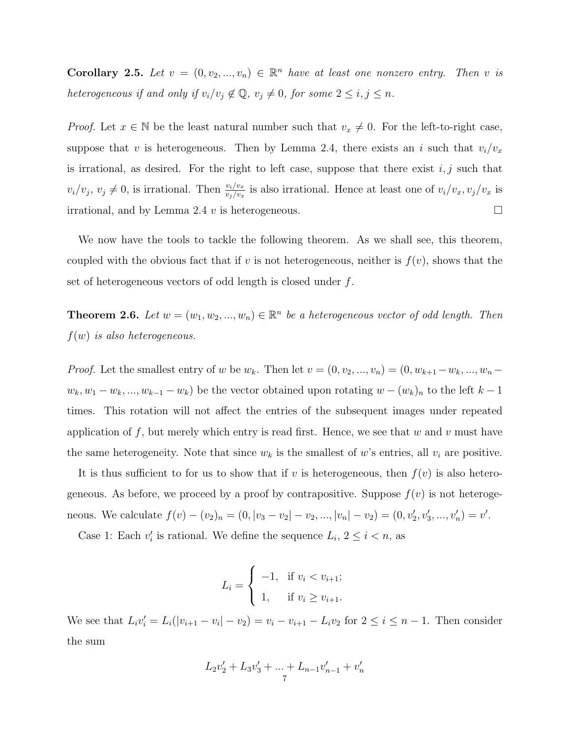**Corollary 2.5.** Let  $v = (0, v_2, ..., v_n) \in \mathbb{R}^n$  have at least one nonzero entry. Then v is heterogeneous if and only if  $v_i/v_j \notin \mathbb{Q}$ ,  $v_j \neq 0$ , for some  $2 \leq i, j \leq n$ .

*Proof.* Let  $x \in \mathbb{N}$  be the least natural number such that  $v_x \neq 0$ . For the left-to-right case, suppose that v is heterogeneous. Then by Lemma 2.4, there exists an i such that  $v_i/v_x$ is irrational, as desired. For the right to left case, suppose that there exist  $i, j$  such that  $v_i/v_j, v_j \neq 0$ , is irrational. Then  $\frac{v_i/v_x}{v_j/v_x}$  is also irrational. Hence at least one of  $v_i/v_x, v_j/v_x$  is irrational, and by Lemma 2.4 v is heterogeneous.  $\Box$ 

We now have the tools to tackle the following theorem. As we shall see, this theorem, coupled with the obvious fact that if v is not heterogeneous, neither is  $f(v)$ , shows that the set of heterogeneous vectors of odd length is closed under f.

**Theorem 2.6.** Let  $w = (w_1, w_2, ..., w_n) \in \mathbb{R}^n$  be a heterogeneous vector of odd length. Then  $f(w)$  is also heterogeneous.

*Proof.* Let the smallest entry of w be  $w_k$ . Then let  $v = (0, v_2, ..., v_n) = (0, w_{k+1} - w_k, ..., w_n$  $w_k, w_1 - w_k, ..., w_{k-1} - w_k$  be the vector obtained upon rotating  $w - (w_k)_n$  to the left  $k-1$ times. This rotation will not affect the entries of the subsequent images under repeated application of f, but merely which entry is read first. Hence, we see that w and v must have the same heterogeneity. Note that since  $w_k$  is the smallest of w's entries, all  $v_i$  are positive.

It is thus sufficient to for us to show that if v is heterogeneous, then  $f(v)$  is also heterogeneous. As before, we proceed by a proof by contrapositive. Suppose  $f(v)$  is not heterogeneous. We calculate  $f(v) - (v_2)_n = (0, |v_3 - v_2| - v_2, ..., |v_n| - v_2) = (0, v'_2, v'_3, ..., v'_n) = v'.$ 

Case 1: Each  $v'_i$  is rational. We define the sequence  $L_i$ ,  $2 \leq i \leq n$ , as

$$
L_i = \begin{cases} -1, & \text{if } v_i < v_{i+1}; \\ 1, & \text{if } v_i \ge v_{i+1}. \end{cases}
$$

We see that  $L_i v'_i = L_i(|v_{i+1} - v_i| - v_2) = v_i - v_{i+1} - L_i v_2$  for  $2 \le i \le n - 1$ . Then consider the sum

$$
L_2v_2' + L_3v_3' + \dots + L_{n-1}v_{n-1}' + v_n'
$$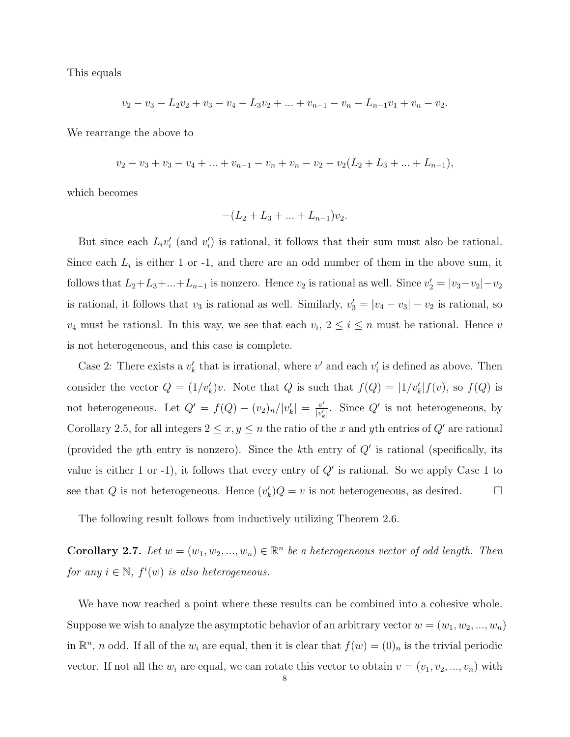This equals

$$
v_2 - v_3 - L_2v_2 + v_3 - v_4 - L_3v_2 + \dots + v_{n-1} - v_n - L_{n-1}v_1 + v_n - v_2.
$$

We rearrange the above to

$$
v_2 - v_3 + v_3 - v_4 + \dots + v_{n-1} - v_n + v_n - v_2 - v_2(L_2 + L_3 + \dots + L_{n-1}),
$$

which becomes

$$
-(L_2 + L_3 + \ldots + L_{n-1})v_2.
$$

But since each  $L_i v'_i$  (and  $v'_i$ ) is rational, it follows that their sum must also be rational. Since each  $L_i$  is either 1 or -1, and there are an odd number of them in the above sum, it follows that  $L_2+L_3+\ldots+L_{n-1}$  is nonzero. Hence  $v_2$  is rational as well. Since  $v'_2=|v_3-v_2|-v_2$ is rational, it follows that  $v_3$  is rational as well. Similarly,  $v'_3 = |v_4 - v_3| - v_2$  is rational, so  $v_4$  must be rational. In this way, we see that each  $v_i$ ,  $2 \le i \le n$  must be rational. Hence v is not heterogeneous, and this case is complete.

Case 2: There exists a  $v'_k$  that is irrational, where  $v'$  and each  $v'_i$  is defined as above. Then consider the vector  $Q = (1/v'_k)v$ . Note that Q is such that  $f(Q) = |1/v'_k| f(v)$ , so  $f(Q)$  is not heterogeneous. Let  $Q' = f(Q) - (v_2)_n/|v'_k| = \frac{v'}{|v'_k|}$  $\frac{v'}{|v'_k|}$ . Since Q' is not heterogeneous, by Corollary 2.5, for all integers  $2 \le x, y \le n$  the ratio of the x and yth entries of  $Q'$  are rational (provided the yth entry is nonzero). Since the kth entry of  $Q'$  is rational (specifically, its value is either 1 or -1), it follows that every entry of  $Q'$  is rational. So we apply Case 1 to see that Q is not heterogeneous. Hence  $(v'_k)Q = v$  is not heterogeneous, as desired.  $\square$ 

The following result follows from inductively utilizing Theorem 2.6.

**Corollary 2.7.** Let  $w = (w_1, w_2, ..., w_n) \in \mathbb{R}^n$  be a heterogeneous vector of odd length. Then for any  $i \in \mathbb{N}$ ,  $f^i(w)$  is also heterogeneous.

We have now reached a point where these results can be combined into a cohesive whole. Suppose we wish to analyze the asymptotic behavior of an arbitrary vector  $w = (w_1, w_2, ..., w_n)$ in  $\mathbb{R}^n$ , n odd. If all of the  $w_i$  are equal, then it is clear that  $f(w) = (0)_n$  is the trivial periodic vector. If not all the  $w_i$  are equal, we can rotate this vector to obtain  $v = (v_1, v_2, ..., v_n)$  with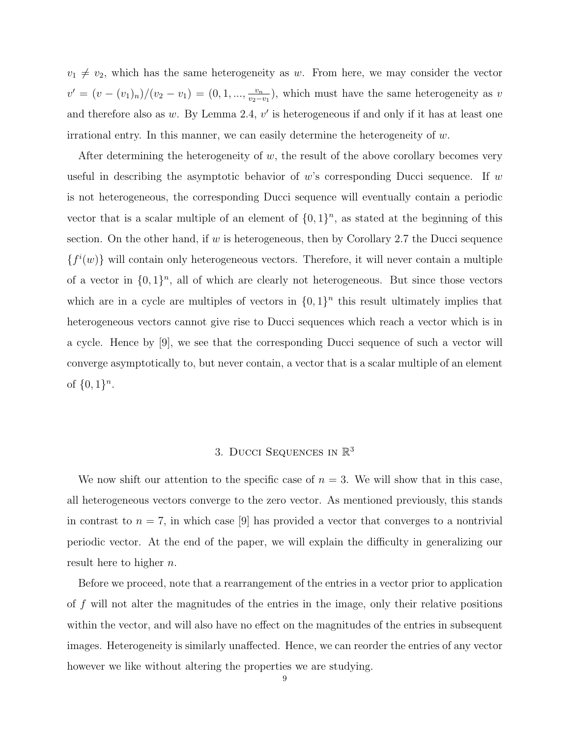$v_1 \neq v_2$ , which has the same heterogeneity as w. From here, we may consider the vector  $v' = (v - (v_1)_n)/(v_2 - v_1) = (0, 1, ..., \frac{v_n}{v_2 - v_1})$  $\frac{v_n}{v_2-v_1}$ , which must have the same heterogeneity as v and therefore also as  $w$ . By Lemma 2.4,  $v'$  is heterogeneous if and only if it has at least one irrational entry. In this manner, we can easily determine the heterogeneity of  $w$ .

After determining the heterogeneity of  $w$ , the result of the above corollary becomes very useful in describing the asymptotic behavior of w's corresponding Ducci sequence. If w is not heterogeneous, the corresponding Ducci sequence will eventually contain a periodic vector that is a scalar multiple of an element of  $\{0,1\}^n$ , as stated at the beginning of this section. On the other hand, if w is heterogeneous, then by Corollary 2.7 the Ducci sequence  ${f<sup>i</sup>(w)}$  will contain only heterogeneous vectors. Therefore, it will never contain a multiple of a vector in  $\{0,1\}^n$ , all of which are clearly not heterogeneous. But since those vectors which are in a cycle are multiples of vectors in  $\{0,1\}^n$  this result ultimately implies that heterogeneous vectors cannot give rise to Ducci sequences which reach a vector which is in a cycle. Hence by [9], we see that the corresponding Ducci sequence of such a vector will converge asymptotically to, but never contain, a vector that is a scalar multiple of an element of  $\{0, 1\}^n$ .

# 3. DUCCI SEQUENCES IN  $\mathbb{R}^3$

We now shift our attention to the specific case of  $n = 3$ . We will show that in this case, all heterogeneous vectors converge to the zero vector. As mentioned previously, this stands in contrast to  $n = 7$ , in which case [9] has provided a vector that converges to a nontrivial periodic vector. At the end of the paper, we will explain the difficulty in generalizing our result here to higher  $n$ .

Before we proceed, note that a rearrangement of the entries in a vector prior to application of f will not alter the magnitudes of the entries in the image, only their relative positions within the vector, and will also have no effect on the magnitudes of the entries in subsequent images. Heterogeneity is similarly unaffected. Hence, we can reorder the entries of any vector however we like without altering the properties we are studying.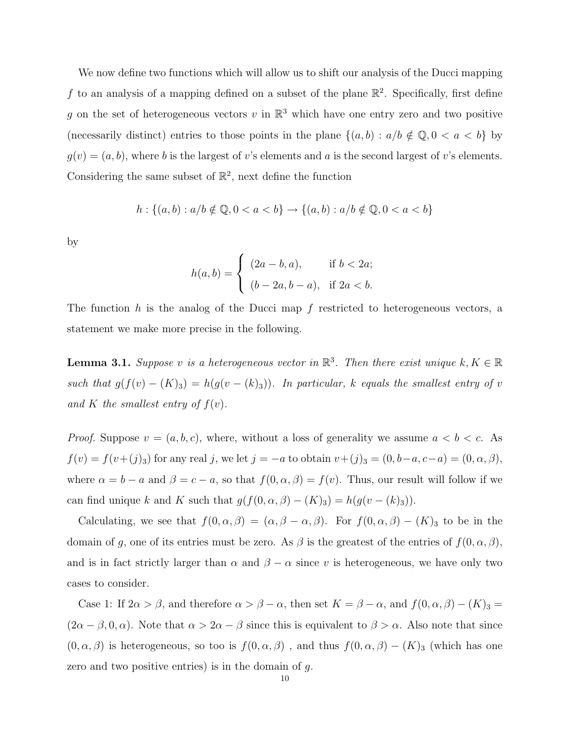We now define two functions which will allow us to shift our analysis of the Ducci mapping f to an analysis of a mapping defined on a subset of the plane  $\mathbb{R}^2$ . Specifically, first define g on the set of heterogeneous vectors v in  $\mathbb{R}^3$  which have one entry zero and two positive (necessarily distinct) entries to those points in the plane  $\{(a, b) : a/b \notin \mathbb{Q}, 0 < a < b\}$  by  $g(v) = (a, b)$ , where b is the largest of v's elements and a is the second largest of v's elements. Considering the same subset of  $\mathbb{R}^2$ , next define the function

$$
h: \{(a,b): a/b \notin \mathbb{Q}, 0 < a < b\} \rightarrow \{(a,b): a/b \notin \mathbb{Q}, 0 < a < b\}
$$

by

$$
h(a,b) = \begin{cases} (2a - b, a), & \text{if } b < 2a; \\ (b - 2a, b - a), & \text{if } 2a < b. \end{cases}
$$

The function h is the analog of the Ducci map f restricted to heterogeneous vectors, a statement we make more precise in the following.

**Lemma 3.1.** Suppose v is a heterogeneous vector in  $\mathbb{R}^3$ . Then there exist unique  $k, K \in \mathbb{R}$ such that  $g(f(v) - (K_3)) = h(g(v - (k_3)))$ . In particular, k equals the smallest entry of v and K the smallest entry of  $f(v)$ .

*Proof.* Suppose  $v = (a, b, c)$ , where, without a loss of generality we assume  $a < b < c$ . As  $f(v) = f(v+(j)_3)$  for any real j, we let  $j = -a$  to obtain  $v+(j)_3 = (0, b-a, c-a) = (0, \alpha, \beta)$ , where  $\alpha = b - a$  and  $\beta = c - a$ , so that  $f(0, \alpha, \beta) = f(v)$ . Thus, our result will follow if we can find unique k and K such that  $g(f(0, \alpha, \beta) - (K)_3) = h(g(v - (k)_3)).$ 

Calculating, we see that  $f(0, \alpha, \beta) = (\alpha, \beta - \alpha, \beta)$ . For  $f(0, \alpha, \beta) - (K)_3$  to be in the domain of g, one of its entries must be zero. As  $\beta$  is the greatest of the entries of  $f(0, \alpha, \beta)$ , and is in fact strictly larger than  $\alpha$  and  $\beta - \alpha$  since v is heterogeneous, we have only two cases to consider.

Case 1: If  $2\alpha > \beta$ , and therefore  $\alpha > \beta - \alpha$ , then set  $K = \beta - \alpha$ , and  $f(0, \alpha, \beta) - (K)_3 =$  $(2\alpha - \beta, 0, \alpha)$ . Note that  $\alpha > 2\alpha - \beta$  since this is equivalent to  $\beta > \alpha$ . Also note that since  $(0, \alpha, \beta)$  is heterogeneous, so too is  $f(0, \alpha, \beta)$ , and thus  $f(0, \alpha, \beta) - (K)_3$  (which has one zero and two positive entries) is in the domain of  $g$ .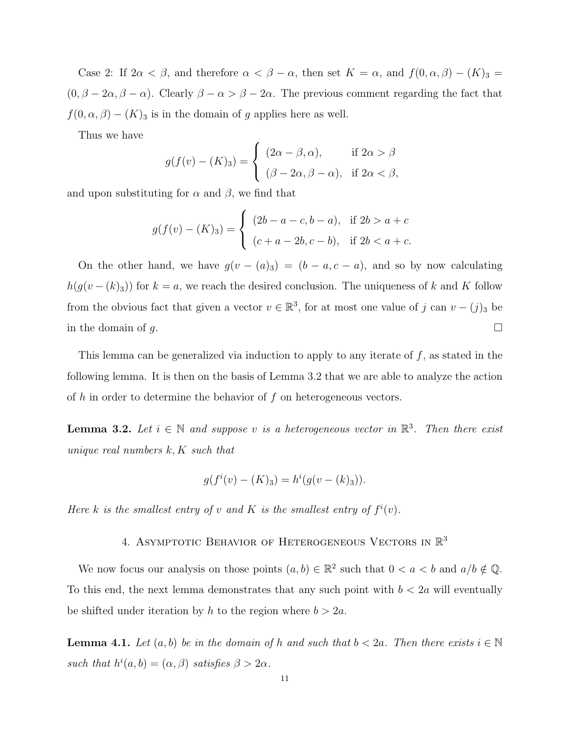Case 2: If  $2\alpha < \beta$ , and therefore  $\alpha < \beta - \alpha$ , then set  $K = \alpha$ , and  $f(0, \alpha, \beta) - (K)_3 =$  $(0, \beta - 2\alpha, \beta - \alpha)$ . Clearly  $\beta - \alpha > \beta - 2\alpha$ . The previous comment regarding the fact that  $f(0, \alpha, \beta) - (K)_3$  is in the domain of g applies here as well.

Thus we have

$$
g(f(v) - (K)_3) = \begin{cases} (2\alpha - \beta, \alpha), & \text{if } 2\alpha > \beta \\ (\beta - 2\alpha, \beta - \alpha), & \text{if } 2\alpha < \beta, \end{cases}
$$

and upon substituting for  $\alpha$  and  $\beta$ , we find that

$$
g(f(v) - (K)_3) = \begin{cases} (2b - a - c, b - a), & \text{if } 2b > a + c \\ (c + a - 2b, c - b), & \text{if } 2b < a + c. \end{cases}
$$

On the other hand, we have  $g(v - (a)_3) = (b - a, c - a)$ , and so by now calculating  $h(g(v - (k_3)))$  for  $k = a$ , we reach the desired conclusion. The uniqueness of k and K follow from the obvious fact that given a vector  $v \in \mathbb{R}^3$ , for at most one value of j can  $v - (j)_3$  be in the domain of q.

This lemma can be generalized via induction to apply to any iterate of  $f$ , as stated in the following lemma. It is then on the basis of Lemma 3.2 that we are able to analyze the action of  $h$  in order to determine the behavior of  $f$  on heterogeneous vectors.

**Lemma 3.2.** Let  $i \in \mathbb{N}$  and suppose v is a heterogeneous vector in  $\mathbb{R}^3$ . Then there exist unique real numbers  $k, K$  such that

$$
g(fi(v) - (K)3) = hi(g(v - (k)3)).
$$

Here k is the smallest entry of v and K is the smallest entry of  $f^i(v)$ .

# 4. ASYMPTOTIC BEHAVIOR OF HETEROGENEOUS VECTORS IN  $\mathbb{R}^3$

We now focus our analysis on those points  $(a, b) \in \mathbb{R}^2$  such that  $0 < a < b$  and  $a/b \notin \mathbb{Q}$ . To this end, the next lemma demonstrates that any such point with  $b < 2a$  will eventually be shifted under iteration by h to the region where  $b > 2a$ .

**Lemma 4.1.** Let  $(a, b)$  be in the domain of h and such that  $b < 2a$ . Then there exists  $i \in \mathbb{N}$ such that  $h^{i}(a, b) = (\alpha, \beta)$  satisfies  $\beta > 2\alpha$ .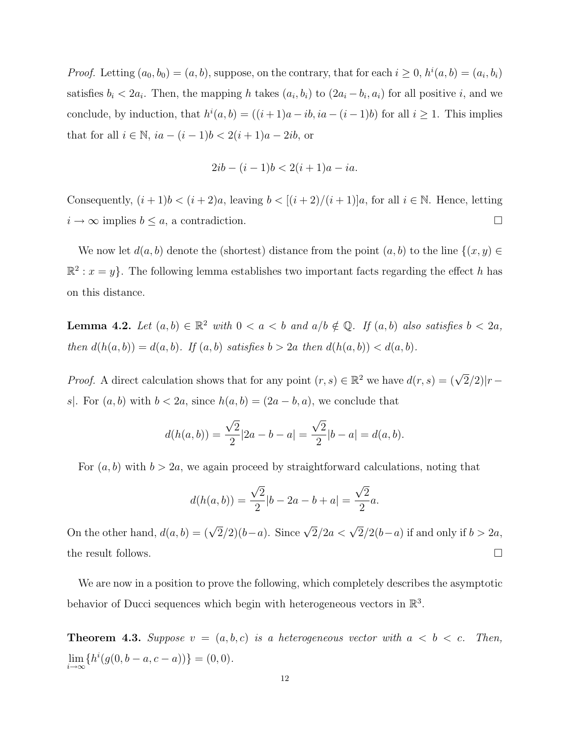*Proof.* Letting  $(a_0, b_0) = (a, b)$ , suppose, on the contrary, that for each  $i \geq 0$ ,  $h^i(a, b) = (a_i, b_i)$ satisfies  $b_i < 2a_i$ . Then, the mapping h takes  $(a_i, b_i)$  to  $(2a_i - b_i, a_i)$  for all positive i, and we conclude, by induction, that  $h^{i}(a, b) = ((i + 1)a - ib, ia - (i - 1)b)$  for all  $i \ge 1$ . This implies that for all  $i \in \mathbb{N}$ ,  $ia - (i - 1)b < 2(i + 1)a - 2ib$ , or

$$
2ib - (i - 1)b < 2(i + 1)a - ia.
$$

Consequently,  $(i + 1)b < (i + 2)a$ , leaving  $b < [(i + 2)/(i + 1)]a$ , for all  $i \in \mathbb{N}$ . Hence, letting  $i \to \infty$  implies  $b \leq a$ , a contradiction.

We now let  $d(a, b)$  denote the (shortest) distance from the point  $(a, b)$  to the line  $\{(x, y) \in$  $\mathbb{R}^2$ :  $x = y$ . The following lemma establishes two important facts regarding the effect h has on this distance.

**Lemma 4.2.** Let  $(a, b) \in \mathbb{R}^2$  with  $0 < a < b$  and  $a/b \notin \mathbb{Q}$ . If  $(a, b)$  also satisfies  $b < 2a$ , then  $d(h(a, b)) = d(a, b)$ . If  $(a, b)$  satisfies  $b > 2a$  then  $d(h(a, b)) < d(a, b)$ .

*Proof.* A direct calculation shows that for any point  $(r, s) \in \mathbb{R}^2$  we have  $d(r, s) = (\sqrt{2}/2)|r - r|$ s. For  $(a, b)$  with  $b < 2a$ , since  $h(a, b) = (2a - b, a)$ , we conclude that

$$
d(h(a,b)) = \frac{\sqrt{2}}{2}|2a - b - a| = \frac{\sqrt{2}}{2}|b - a| = d(a,b).
$$

For  $(a, b)$  with  $b > 2a$ , we again proceed by straightforward calculations, noting that

$$
d(h(a,b)) = \frac{\sqrt{2}}{2}|b - 2a - b + a| = \frac{\sqrt{2}}{2}a.
$$

On the other hand,  $d(a, b) = (\sqrt{2}/2)(b-a)$ . Since  $\sqrt{2}/2a < \sqrt{2}/2(b-a)$  if and only if  $b > 2a$ , the result follows.  $\Box$ 

We are now in a position to prove the following, which completely describes the asymptotic behavior of Ducci sequences which begin with heterogeneous vectors in  $\mathbb{R}^3$ .

**Theorem 4.3.** Suppose  $v = (a, b, c)$  is a heterogeneous vector with  $a < b < c$ . Then,  $\lim_{i \to \infty} \{ h^i(g(0, b - a, c - a)) \} = (0, 0).$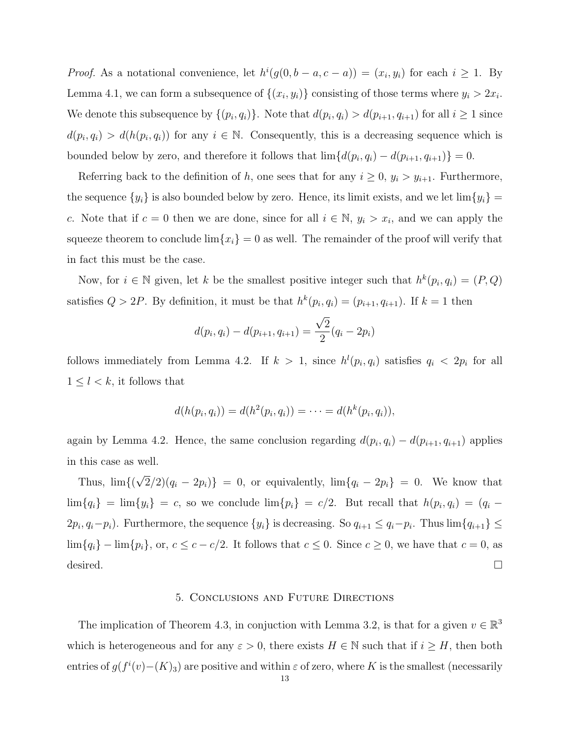*Proof.* As a notational convenience, let  $h^{i}(g(0, b - a, c - a)) = (x_i, y_i)$  for each  $i \ge 1$ . By Lemma 4.1, we can form a subsequence of  $\{(x_i, y_i)\}$  consisting of those terms where  $y_i > 2x_i$ . We denote this subsequence by  $\{(p_i, q_i)\}\$ . Note that  $d(p_i, q_i) > d(p_{i+1}, q_{i+1})$  for all  $i \geq 1$  since  $d(p_i, q_i) > d(h(p_i, q_i))$  for any  $i \in \mathbb{N}$ . Consequently, this is a decreasing sequence which is bounded below by zero, and therefore it follows that  $\lim\{d(p_i, q_i) - d(p_{i+1}, q_{i+1})\} = 0$ .

Referring back to the definition of h, one sees that for any  $i \geq 0$ ,  $y_i > y_{i+1}$ . Furthermore, the sequence  $\{y_i\}$  is also bounded below by zero. Hence, its limit exists, and we let  $\lim \{y_i\} =$ c. Note that if  $c = 0$  then we are done, since for all  $i \in \mathbb{N}$ ,  $y_i > x_i$ , and we can apply the squeeze theorem to conclude  $\lim\{x_i\} = 0$  as well. The remainder of the proof will verify that in fact this must be the case.

Now, for  $i \in \mathbb{N}$  given, let k be the smallest positive integer such that  $h^k(p_i, q_i) = (P, Q)$ satisfies  $Q > 2P$ . By definition, it must be that  $h^k(p_i, q_i) = (p_{i+1}, q_{i+1})$ . If  $k = 1$  then

$$
d(p_i, q_i) - d(p_{i+1}, q_{i+1}) = \frac{\sqrt{2}}{2}(q_i - 2p_i)
$$

follows immediately from Lemma 4.2. If  $k > 1$ , since  $h^l(p_i, q_i)$  satisfies  $q_i < 2p_i$  for all  $1 \leq l < k$ , it follows that

$$
d(h(p_i, q_i)) = d(h^2(p_i, q_i)) = \cdots = d(h^k(p_i, q_i)),
$$

again by Lemma 4.2. Hence, the same conclusion regarding  $d(p_i, q_i) - d(p_{i+1}, q_{i+1})$  applies in this case as well.

Thus, lim{( √  $2/2(q_i - 2p_i)$  = 0, or equivalently,  $\lim\{q_i - 2p_i\} = 0$ . We know that  $\lim\{q_i\} = \lim\{y_i\} = c$ , so we conclude  $\lim\{p_i\} = c/2$ . But recall that  $h(p_i, q_i) = (q_i 2p_i, q_i-p_i$ ). Furthermore, the sequence  $\{y_i\}$  is decreasing. So  $q_{i+1} \leq q_i-p_i$ . Thus  $\lim\{q_{i+1}\}\leq$  $\lim\{q_i\} - \lim\{p_i\}$ , or,  $c \leq c - c/2$ . It follows that  $c \leq 0$ . Since  $c \geq 0$ , we have that  $c = 0$ , as desired.  $\square$ 

#### 5. Conclusions and Future Directions

The implication of Theorem 4.3, in conjuction with Lemma 3.2, is that for a given  $v \in \mathbb{R}^3$ which is heterogeneous and for any  $\varepsilon > 0$ , there exists  $H \in \mathbb{N}$  such that if  $i \geq H$ , then both entries of  $g(f^{i}(v) - (K)_{3})$  are positive and within  $\varepsilon$  of zero, where K is the smallest (necessarily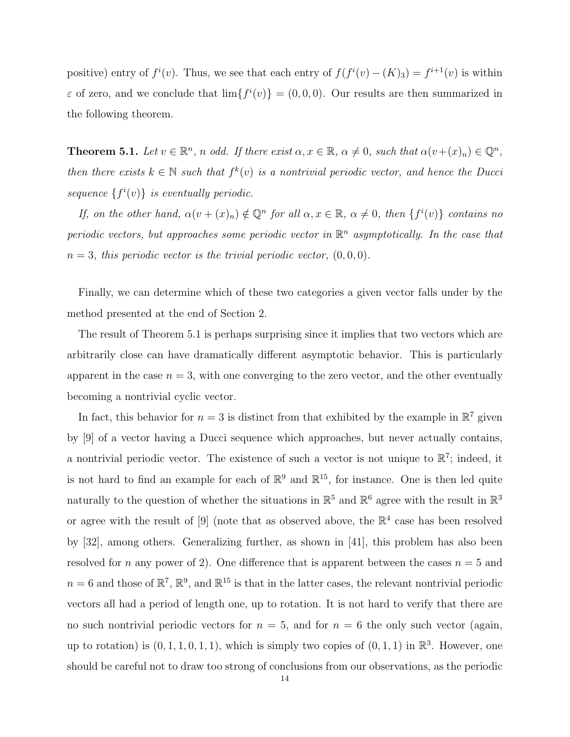positive) entry of  $f^{i}(v)$ . Thus, we see that each entry of  $f(f^{i}(v) - (K)_{3}) = f^{i+1}(v)$  is within  $\varepsilon$  of zero, and we conclude that  $\lim_{s \to 0} {\{f^{i}(v)\}} = (0,0,0)$ . Our results are then summarized in the following theorem.

**Theorem 5.1.** Let  $v \in \mathbb{R}^n$ , n odd. If there exist  $\alpha, x \in \mathbb{R}$ ,  $\alpha \neq 0$ , such that  $\alpha(v+(x)_n) \in \mathbb{Q}^n$ , then there exists  $k \in \mathbb{N}$  such that  $f^k(v)$  is a nontrivial periodic vector, and hence the Ducci sequence  $\{f^i(v)\}\$ is eventually periodic.

If, on the other hand,  $\alpha(v + (x)_n) \notin \mathbb{Q}^n$  for all  $\alpha, x \in \mathbb{R}$ ,  $\alpha \neq 0$ , then  $\{f^i(v)\}$  contains no periodic vectors, but approaches some periodic vector in  $\mathbb{R}^n$  asymptotically. In the case that  $n = 3$ , this periodic vector is the trivial periodic vector,  $(0, 0, 0)$ .

Finally, we can determine which of these two categories a given vector falls under by the method presented at the end of Section 2.

The result of Theorem 5.1 is perhaps surprising since it implies that two vectors which are arbitrarily close can have dramatically different asymptotic behavior. This is particularly apparent in the case  $n = 3$ , with one converging to the zero vector, and the other eventually becoming a nontrivial cyclic vector.

In fact, this behavior for  $n=3$  is distinct from that exhibited by the example in  $\mathbb{R}^7$  given by [9] of a vector having a Ducci sequence which approaches, but never actually contains, a nontrivial periodic vector. The existence of such a vector is not unique to  $\mathbb{R}^7$ ; indeed, it is not hard to find an example for each of  $\mathbb{R}^9$  and  $\mathbb{R}^{15}$ , for instance. One is then led quite naturally to the question of whether the situations in  $\mathbb{R}^5$  and  $\mathbb{R}^6$  agree with the result in  $\mathbb{R}^3$ or agree with the result of [9] (note that as observed above, the  $\mathbb{R}^4$  case has been resolved by [32], among others. Generalizing further, as shown in [41], this problem has also been resolved for n any power of 2). One difference that is apparent between the cases  $n = 5$  and  $n = 6$  and those of  $\mathbb{R}^7$ ,  $\mathbb{R}^9$ , and  $\mathbb{R}^{15}$  is that in the latter cases, the relevant nontrivial periodic vectors all had a period of length one, up to rotation. It is not hard to verify that there are no such nontrivial periodic vectors for  $n = 5$ , and for  $n = 6$  the only such vector (again, up to rotation) is  $(0, 1, 1, 0, 1, 1)$ , which is simply two copies of  $(0, 1, 1)$  in  $\mathbb{R}^3$ . However, one should be careful not to draw too strong of conclusions from our observations, as the periodic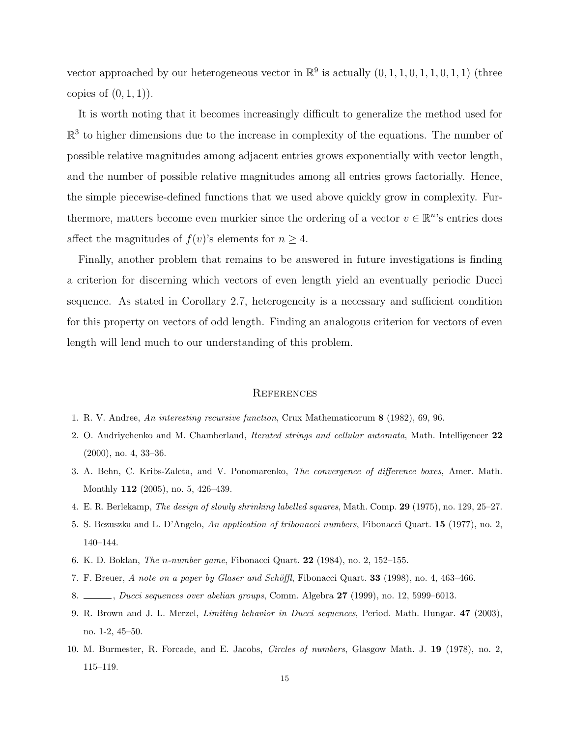vector approached by our heterogeneous vector in  $\mathbb{R}^9$  is actually  $(0, 1, 1, 0, 1, 1, 0, 1, 1)$  (three copies of  $(0, 1, 1)$ .

It is worth noting that it becomes increasingly difficult to generalize the method used for  $\mathbb{R}^3$  to higher dimensions due to the increase in complexity of the equations. The number of possible relative magnitudes among adjacent entries grows exponentially with vector length, and the number of possible relative magnitudes among all entries grows factorially. Hence, the simple piecewise-defined functions that we used above quickly grow in complexity. Furthermore, matters become even murkier since the ordering of a vector  $v \in \mathbb{R}^n$ 's entries does affect the magnitudes of  $f(v)$ 's elements for  $n \geq 4$ .

Finally, another problem that remains to be answered in future investigations is finding a criterion for discerning which vectors of even length yield an eventually periodic Ducci sequence. As stated in Corollary 2.7, heterogeneity is a necessary and sufficient condition for this property on vectors of odd length. Finding an analogous criterion for vectors of even length will lend much to our understanding of this problem.

#### **REFERENCES**

- 1. R. V. Andree, An interesting recursive function, Crux Mathematicorum 8 (1982), 69, 96.
- 2. O. Andriychenko and M. Chamberland, Iterated strings and cellular automata, Math. Intelligencer 22 (2000), no. 4, 33–36.
- 3. A. Behn, C. Kribs-Zaleta, and V. Ponomarenko, The convergence of difference boxes, Amer. Math. Monthly 112 (2005), no. 5, 426–439.
- 4. E. R. Berlekamp, The design of slowly shrinking labelled squares, Math. Comp. 29 (1975), no. 129, 25–27.
- 5. S. Bezuszka and L. D'Angelo, An application of tribonacci numbers, Fibonacci Quart. 15 (1977), no. 2, 140–144.
- 6. K. D. Boklan, The n-number game, Fibonacci Quart. 22 (1984), no. 2, 152–155.
- 7. F. Breuer, A note on a paper by Glaser and Schöffl, Fibonacci Quart. 33 (1998), no. 4, 463-466.
- 8. Jucci sequences over abelian groups, Comm. Algebra 27 (1999), no. 12, 5999–6013.
- 9. R. Brown and J. L. Merzel, Limiting behavior in Ducci sequences, Period. Math. Hungar. 47 (2003), no. 1-2, 45–50.
- 10. M. Burmester, R. Forcade, and E. Jacobs, Circles of numbers, Glasgow Math. J. 19 (1978), no. 2, 115–119.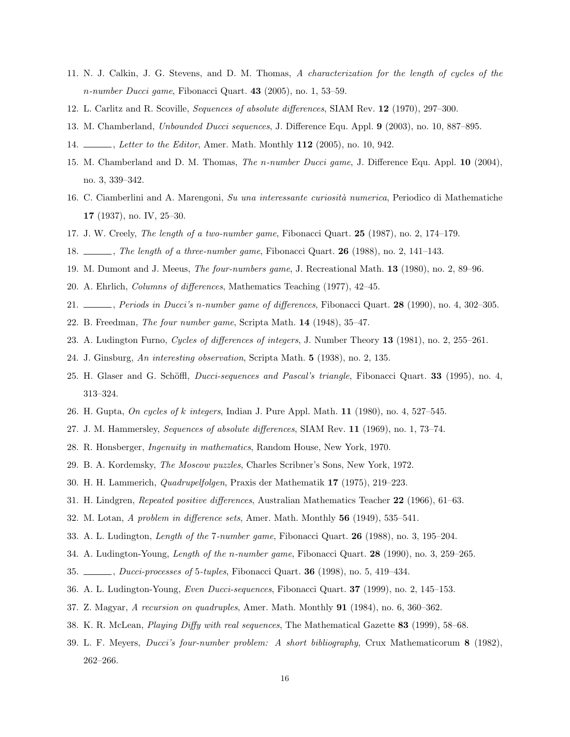- 11. N. J. Calkin, J. G. Stevens, and D. M. Thomas, A characterization for the length of cycles of the  $n-number Ducci game, Fibonacci Quart. 43 (2005), no. 1, 53-59.$
- 12. L. Carlitz and R. Scoville, Sequences of absolute differences, SIAM Rev. 12 (1970), 297–300.
- 13. M. Chamberland, Unbounded Ducci sequences, J. Difference Equ. Appl. 9 (2003), no. 10, 887–895.
- 14. , Letter to the Editor, Amer. Math. Monthly 112 (2005), no. 10, 942.
- 15. M. Chamberland and D. M. Thomas, The n-number Ducci game, J. Difference Equ. Appl. 10 (2004), no. 3, 339–342.
- 16. C. Ciamberlini and A. Marengoni, Su una interessante curiosità numerica, Periodico di Mathematiche 17 (1937), no. IV, 25–30.
- 17. J. W. Creely, The length of a two-number game, Fibonacci Quart. 25 (1987), no. 2, 174–179.
- 18.  $\ldots$ , The length of a three-number game, Fibonacci Quart. 26 (1988), no. 2, 141–143.
- 19. M. Dumont and J. Meeus, The four-numbers game, J. Recreational Math. 13 (1980), no. 2, 89–96.
- 20. A. Ehrlich, Columns of differences, Mathematics Teaching (1977), 42–45.
- 21. , Periods in Ducci's n-number game of differences, Fibonacci Quart. 28 (1990), no. 4, 302–305.
- 22. B. Freedman, The four number game, Scripta Math. 14 (1948), 35–47.
- 23. A. Ludington Furno, Cycles of differences of integers, J. Number Theory 13 (1981), no. 2, 255–261.
- 24. J. Ginsburg, An interesting observation, Scripta Math. 5 (1938), no. 2, 135.
- 25. H. Glaser and G. Schöffl, *Ducci-sequences and Pascal's triangle*, Fibonacci Quart. **33** (1995), no. 4, 313–324.
- 26. H. Gupta, On cycles of k integers, Indian J. Pure Appl. Math. 11 (1980), no. 4, 527–545.
- 27. J. M. Hammersley, Sequences of absolute differences, SIAM Rev. 11 (1969), no. 1, 73–74.
- 28. R. Honsberger, Ingenuity in mathematics, Random House, New York, 1970.
- 29. B. A. Kordemsky, The Moscow puzzles, Charles Scribner's Sons, New York, 1972.
- 30. H. H. Lammerich, Quadrupelfolgen, Praxis der Mathematik 17 (1975), 219–223.
- 31. H. Lindgren, Repeated positive differences, Australian Mathematics Teacher 22 (1966), 61–63.
- 32. M. Lotan, A problem in difference sets, Amer. Math. Monthly 56 (1949), 535–541.
- 33. A. L. Ludington, Length of the 7-number game, Fibonacci Quart. 26 (1988), no. 3, 195–204.
- 34. A. Ludington-Young, Length of the n-number game, Fibonacci Quart. 28 (1990), no. 3, 259–265.
- 35.  $\ldots$ , Ducci-processes of 5-tuples, Fibonacci Quart. **36** (1998), no. 5, 419–434.
- 36. A. L. Ludington-Young, Even Ducci-sequences, Fibonacci Quart. 37 (1999), no. 2, 145–153.
- 37. Z. Magyar, A recursion on quadruples, Amer. Math. Monthly 91 (1984), no. 6, 360–362.
- 38. K. R. McLean, Playing Diffy with real sequences, The Mathematical Gazette 83 (1999), 58–68.
- 39. L. F. Meyers, Ducci's four-number problem: A short bibliography, Crux Mathematicorum 8 (1982), 262–266.